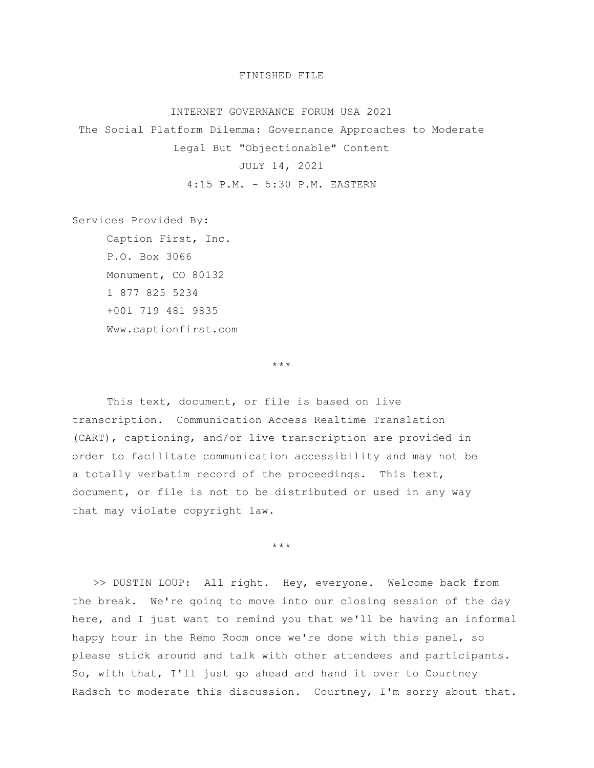## FINISHED FILE

## INTERNET GOVERNANCE FORUM USA 2021

The Social Platform Dilemma: Governance Approaches to Moderate

Legal But "Objectionable" Content

## JULY 14, 2021

4:15 P.M. - 5:30 P.M. EASTERN

Services Provided By:

Caption First, Inc. P.O. Box 3066 Monument, CO 80132 1 877 825 5234 +001 719 481 9835 Www.captionfirst.com

\*\*\*

This text, document, or file is based on live transcription. Communication Access Realtime Translation (CART), captioning, and/or live transcription are provided in order to facilitate communication accessibility and may not be a totally verbatim record of the proceedings. This text, document, or file is not to be distributed or used in any way that may violate copyright law.

\*\*\*

>> DUSTIN LOUP: All right. Hey, everyone. Welcome back from the break. We're going to move into our closing session of the day here, and I just want to remind you that we'll be having an informal happy hour in the Remo Room once we're done with this panel, so please stick around and talk with other attendees and participants. So, with that, I'll just go ahead and hand it over to Courtney Radsch to moderate this discussion. Courtney, I'm sorry about that.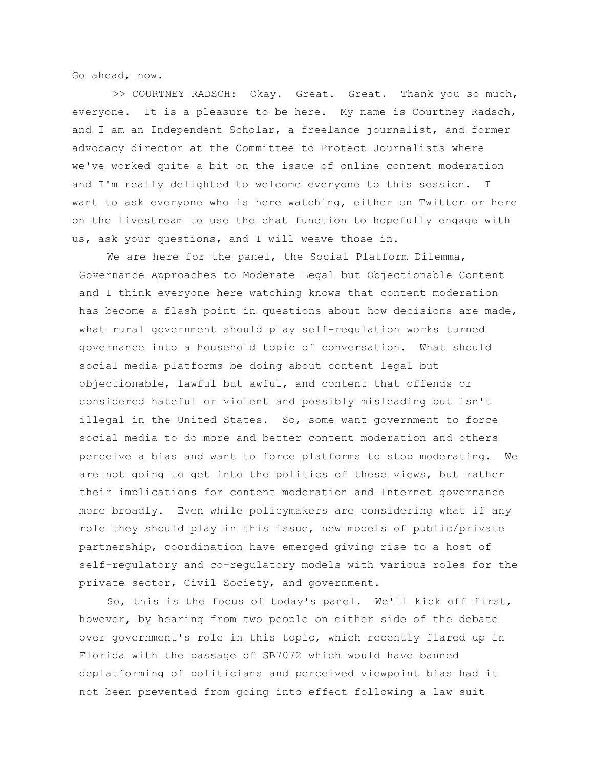Go ahead, now.

>> COURTNEY RADSCH: Okay. Great. Great. Thank you so much, everyone. It is a pleasure to be here. My name is Courtney Radsch, and I am an Independent Scholar, a freelance journalist, and former advocacy director at the Committee to Protect Journalists where we've worked quite a bit on the issue of online content moderation and I'm really delighted to welcome everyone to this session. I want to ask everyone who is here watching, either on Twitter or here on the livestream to use the chat function to hopefully engage with us, ask your questions, and I will weave those in.

We are here for the panel, the Social Platform Dilemma, Governance Approaches to Moderate Legal but Objectionable Content and I think everyone here watching knows that content moderation has become a flash point in questions about how decisions are made, what rural government should play self-regulation works turned governance into a household topic of conversation. What should social media platforms be doing about content legal but objectionable, lawful but awful, and content that offends or considered hateful or violent and possibly misleading but isn't illegal in the United States. So, some want government to force social media to do more and better content moderation and others perceive a bias and want to force platforms to stop moderating. We are not going to get into the politics of these views, but rather their implications for content moderation and Internet governance more broadly. Even while policymakers are considering what if any role they should play in this issue, new models of public/private partnership, coordination have emerged giving rise to a host of self-regulatory and co-regulatory models with various roles for the private sector, Civil Society, and government.

So, this is the focus of today's panel. We'll kick off first, however, by hearing from two people on either side of the debate over government's role in this topic, which recently flared up in Florida with the passage of SB7072 which would have banned deplatforming of politicians and perceived viewpoint bias had it not been prevented from going into effect following a law suit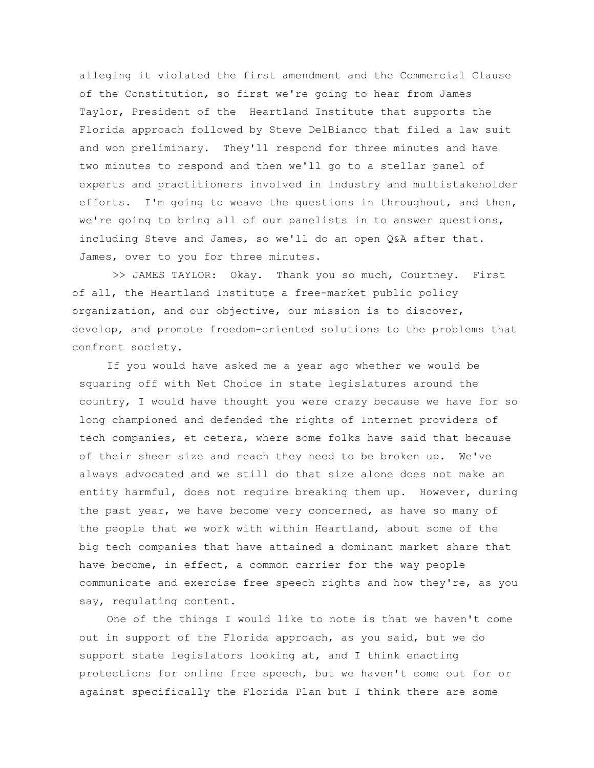alleging it violated the first amendment and the Commercial Clause of the Constitution, so first we're going to hear from James Taylor, President of the Heartland Institute that supports the Florida approach followed by Steve DelBianco that filed a law suit and won preliminary. They'll respond for three minutes and have two minutes to respond and then we'll go to a stellar panel of experts and practitioners involved in industry and multistakeholder efforts. I'm going to weave the questions in throughout, and then, we're going to bring all of our panelists in to answer questions, including Steve and James, so we'll do an open Q&A after that. James, over to you for three minutes.

>> JAMES TAYLOR: Okay. Thank you so much, Courtney. First of all, the Heartland Institute a free-market public policy organization, and our objective, our mission is to discover, develop, and promote freedom-oriented solutions to the problems that confront society.

If you would have asked me a year ago whether we would be squaring off with Net Choice in state legislatures around the country, I would have thought you were crazy because we have for so long championed and defended the rights of Internet providers of tech companies, et cetera, where some folks have said that because of their sheer size and reach they need to be broken up. We've always advocated and we still do that size alone does not make an entity harmful, does not require breaking them up. However, during the past year, we have become very concerned, as have so many of the people that we work with within Heartland, about some of the big tech companies that have attained a dominant market share that have become, in effect, a common carrier for the way people communicate and exercise free speech rights and how they're, as you say, regulating content.

One of the things I would like to note is that we haven't come out in support of the Florida approach, as you said, but we do support state legislators looking at, and I think enacting protections for online free speech, but we haven't come out for or against specifically the Florida Plan but I think there are some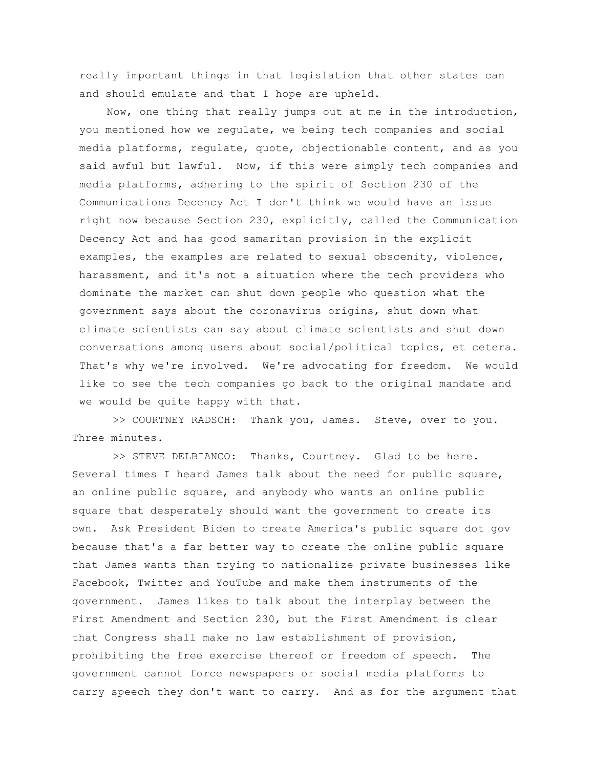really important things in that legislation that other states can and should emulate and that I hope are upheld.

Now, one thing that really jumps out at me in the introduction, you mentioned how we regulate, we being tech companies and social media platforms, regulate, quote, objectionable content, and as you said awful but lawful. Now, if this were simply tech companies and media platforms, adhering to the spirit of Section 230 of the Communications Decency Act I don't think we would have an issue right now because Section 230, explicitly, called the Communication Decency Act and has good samaritan provision in the explicit examples, the examples are related to sexual obscenity, violence, harassment, and it's not a situation where the tech providers who dominate the market can shut down people who question what the government says about the coronavirus origins, shut down what climate scientists can say about climate scientists and shut down conversations among users about social/political topics, et cetera. That's why we're involved. We're advocating for freedom. We would like to see the tech companies go back to the original mandate and we would be quite happy with that.

>> COURTNEY RADSCH: Thank you, James. Steve, over to you. Three minutes.

>> STEVE DELBIANCO: Thanks, Courtney. Glad to be here. Several times I heard James talk about the need for public square, an online public square, and anybody who wants an online public square that desperately should want the government to create its own. Ask President Biden to create America's public square dot gov because that's a far better way to create the online public square that James wants than trying to nationalize private businesses like Facebook, Twitter and YouTube and make them instruments of the government. James likes to talk about the interplay between the First Amendment and Section 230, but the First Amendment is clear that Congress shall make no law establishment of provision, prohibiting the free exercise thereof or freedom of speech. The government cannot force newspapers or social media platforms to carry speech they don't want to carry. And as for the argument that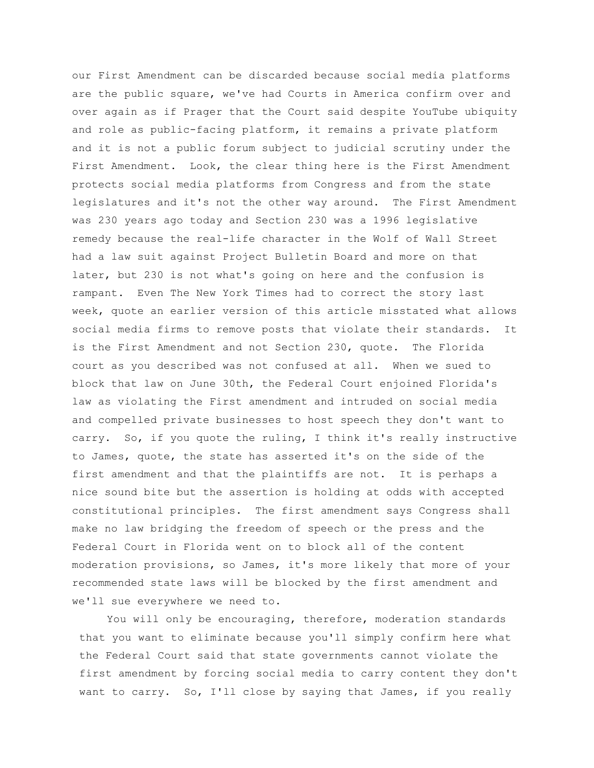our First Amendment can be discarded because social media platforms are the public square, we've had Courts in America confirm over and over again as if Prager that the Court said despite YouTube ubiquity and role as public-facing platform, it remains a private platform and it is not a public forum subject to judicial scrutiny under the First Amendment. Look, the clear thing here is the First Amendment protects social media platforms from Congress and from the state legislatures and it's not the other way around. The First Amendment was 230 years ago today and Section 230 was a 1996 legislative remedy because the real-life character in the Wolf of Wall Street had a law suit against Project Bulletin Board and more on that later, but 230 is not what's going on here and the confusion is rampant. Even The New York Times had to correct the story last week, quote an earlier version of this article misstated what allows social media firms to remove posts that violate their standards. It is the First Amendment and not Section 230, quote. The Florida court as you described was not confused at all. When we sued to block that law on June 30th, the Federal Court enjoined Florida's law as violating the First amendment and intruded on social media and compelled private businesses to host speech they don't want to carry. So, if you quote the ruling, I think it's really instructive to James, quote, the state has asserted it's on the side of the first amendment and that the plaintiffs are not. It is perhaps a nice sound bite but the assertion is holding at odds with accepted constitutional principles. The first amendment says Congress shall make no law bridging the freedom of speech or the press and the Federal Court in Florida went on to block all of the content moderation provisions, so James, it's more likely that more of your recommended state laws will be blocked by the first amendment and we'll sue everywhere we need to.

You will only be encouraging, therefore, moderation standards that you want to eliminate because you'll simply confirm here what the Federal Court said that state governments cannot violate the first amendment by forcing social media to carry content they don't want to carry. So, I'll close by saying that James, if you really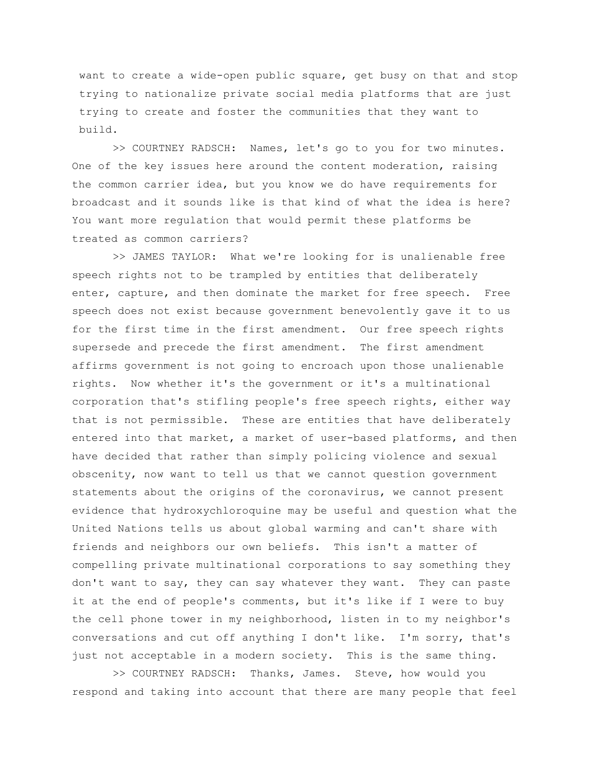want to create a wide-open public square, get busy on that and stop trying to nationalize private social media platforms that are just trying to create and foster the communities that they want to build.

>> COURTNEY RADSCH: Names, let's go to you for two minutes. One of the key issues here around the content moderation, raising the common carrier idea, but you know we do have requirements for broadcast and it sounds like is that kind of what the idea is here? You want more regulation that would permit these platforms be treated as common carriers?

>> JAMES TAYLOR: What we're looking for is unalienable free speech rights not to be trampled by entities that deliberately enter, capture, and then dominate the market for free speech. Free speech does not exist because government benevolently gave it to us for the first time in the first amendment. Our free speech rights supersede and precede the first amendment. The first amendment affirms government is not going to encroach upon those unalienable rights. Now whether it's the government or it's a multinational corporation that's stifling people's free speech rights, either way that is not permissible. These are entities that have deliberately entered into that market, a market of user-based platforms, and then have decided that rather than simply policing violence and sexual obscenity, now want to tell us that we cannot question government statements about the origins of the coronavirus, we cannot present evidence that hydroxychloroquine may be useful and question what the United Nations tells us about global warming and can't share with friends and neighbors our own beliefs. This isn't a matter of compelling private multinational corporations to say something they don't want to say, they can say whatever they want. They can paste it at the end of people's comments, but it's like if I were to buy the cell phone tower in my neighborhood, listen in to my neighbor's conversations and cut off anything I don't like. I'm sorry, that's just not acceptable in a modern society. This is the same thing.

>> COURTNEY RADSCH: Thanks, James. Steve, how would you respond and taking into account that there are many people that feel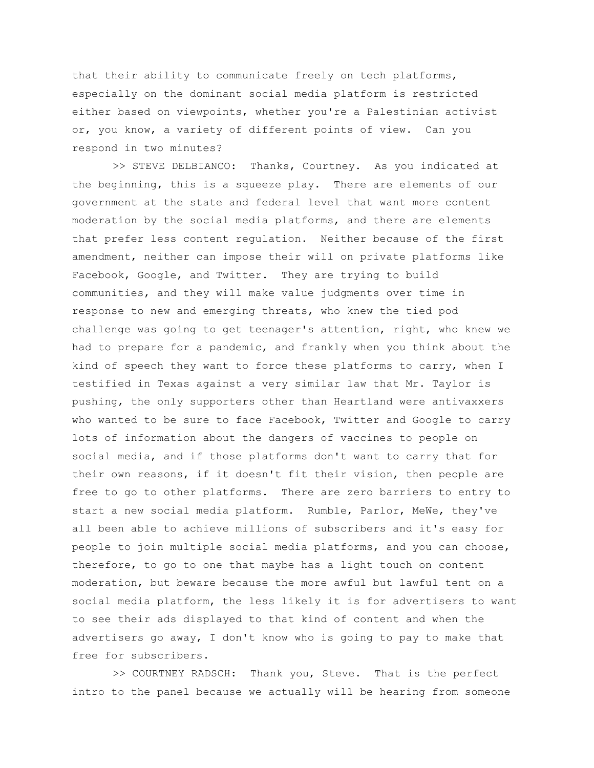that their ability to communicate freely on tech platforms, especially on the dominant social media platform is restricted either based on viewpoints, whether you're a Palestinian activist or, you know, a variety of different points of view. Can you respond in two minutes?

>> STEVE DELBIANCO: Thanks, Courtney. As you indicated at the beginning, this is a squeeze play. There are elements of our government at the state and federal level that want more content moderation by the social media platforms, and there are elements that prefer less content regulation. Neither because of the first amendment, neither can impose their will on private platforms like Facebook, Google, and Twitter. They are trying to build communities, and they will make value judgments over time in response to new and emerging threats, who knew the tied pod challenge was going to get teenager's attention, right, who knew we had to prepare for a pandemic, and frankly when you think about the kind of speech they want to force these platforms to carry, when I testified in Texas against a very similar law that Mr. Taylor is pushing, the only supporters other than Heartland were antivaxxers who wanted to be sure to face Facebook, Twitter and Google to carry lots of information about the dangers of vaccines to people on social media, and if those platforms don't want to carry that for their own reasons, if it doesn't fit their vision, then people are free to go to other platforms. There are zero barriers to entry to start a new social media platform. Rumble, Parlor, MeWe, they've all been able to achieve millions of subscribers and it's easy for people to join multiple social media platforms, and you can choose, therefore, to go to one that maybe has a light touch on content moderation, but beware because the more awful but lawful tent on a social media platform, the less likely it is for advertisers to want to see their ads displayed to that kind of content and when the advertisers go away, I don't know who is going to pay to make that free for subscribers.

>> COURTNEY RADSCH: Thank you, Steve. That is the perfect intro to the panel because we actually will be hearing from someone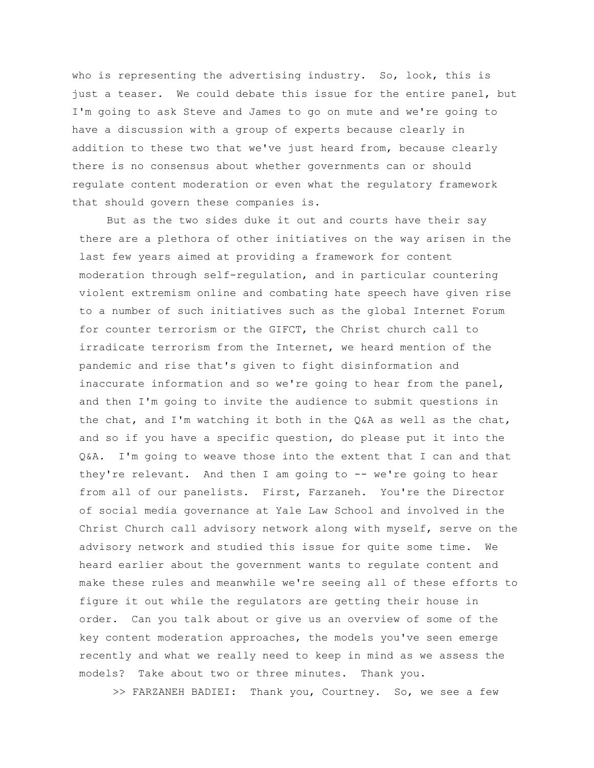who is representing the advertising industry. So, look, this is just a teaser. We could debate this issue for the entire panel, but I'm going to ask Steve and James to go on mute and we're going to have a discussion with a group of experts because clearly in addition to these two that we've just heard from, because clearly there is no consensus about whether governments can or should regulate content moderation or even what the regulatory framework that should govern these companies is.

But as the two sides duke it out and courts have their say there are a plethora of other initiatives on the way arisen in the last few years aimed at providing a framework for content moderation through self-regulation, and in particular countering violent extremism online and combating hate speech have given rise to a number of such initiatives such as the global Internet Forum for counter terrorism or the GIFCT, the Christ church call to irradicate terrorism from the Internet, we heard mention of the pandemic and rise that's given to fight disinformation and inaccurate information and so we're going to hear from the panel, and then I'm going to invite the audience to submit questions in the chat, and I'm watching it both in the Q&A as well as the chat, and so if you have a specific question, do please put it into the Q&A. I'm going to weave those into the extent that I can and that they're relevant. And then I am going to -- we're going to hear from all of our panelists. First, Farzaneh. You're the Director of social media governance at Yale Law School and involved in the Christ Church call advisory network along with myself, serve on the advisory network and studied this issue for quite some time. We heard earlier about the government wants to regulate content and make these rules and meanwhile we're seeing all of these efforts to figure it out while the regulators are getting their house in order. Can you talk about or give us an overview of some of the key content moderation approaches, the models you've seen emerge recently and what we really need to keep in mind as we assess the models? Take about two or three minutes. Thank you.

>> FARZANEH BADIEI: Thank you, Courtney. So, we see a few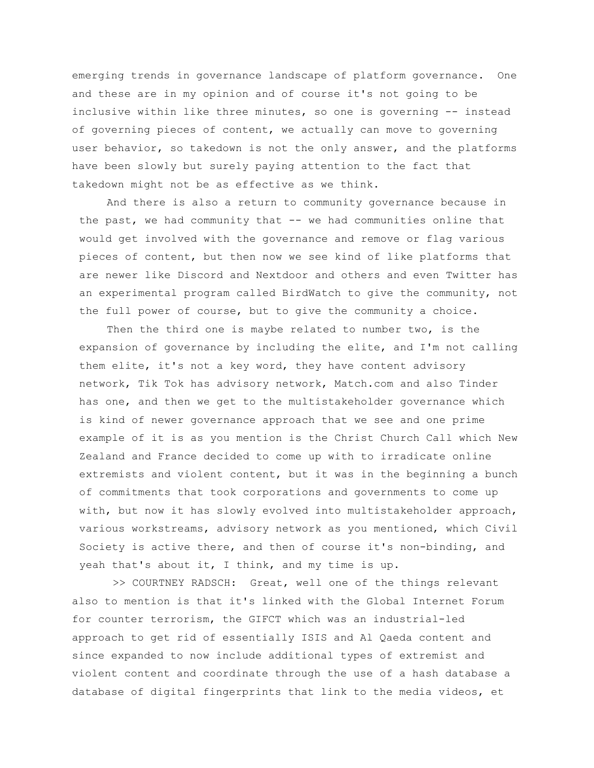emerging trends in governance landscape of platform governance. One and these are in my opinion and of course it's not going to be inclusive within like three minutes, so one is governing -- instead of governing pieces of content, we actually can move to governing user behavior, so takedown is not the only answer, and the platforms have been slowly but surely paying attention to the fact that takedown might not be as effective as we think.

And there is also a return to community governance because in the past, we had community that -- we had communities online that would get involved with the governance and remove or flag various pieces of content, but then now we see kind of like platforms that are newer like Discord and Nextdoor and others and even Twitter has an experimental program called BirdWatch to give the community, not the full power of course, but to give the community a choice.

Then the third one is maybe related to number two, is the expansion of governance by including the elite, and I'm not calling them elite, it's not a key word, they have content advisory network, Tik Tok has advisory network, Match.com and also Tinder has one, and then we get to the multistakeholder governance which is kind of newer governance approach that we see and one prime example of it is as you mention is the Christ Church Call which New Zealand and France decided to come up with to irradicate online extremists and violent content, but it was in the beginning a bunch of commitments that took corporations and governments to come up with, but now it has slowly evolved into multistakeholder approach, various workstreams, advisory network as you mentioned, which Civil Society is active there, and then of course it's non-binding, and yeah that's about it, I think, and my time is up.

>> COURTNEY RADSCH: Great, well one of the things relevant also to mention is that it's linked with the Global Internet Forum for counter terrorism, the GIFCT which was an industrial-led approach to get rid of essentially ISIS and Al Qaeda content and since expanded to now include additional types of extremist and violent content and coordinate through the use of a hash database a database of digital fingerprints that link to the media videos, et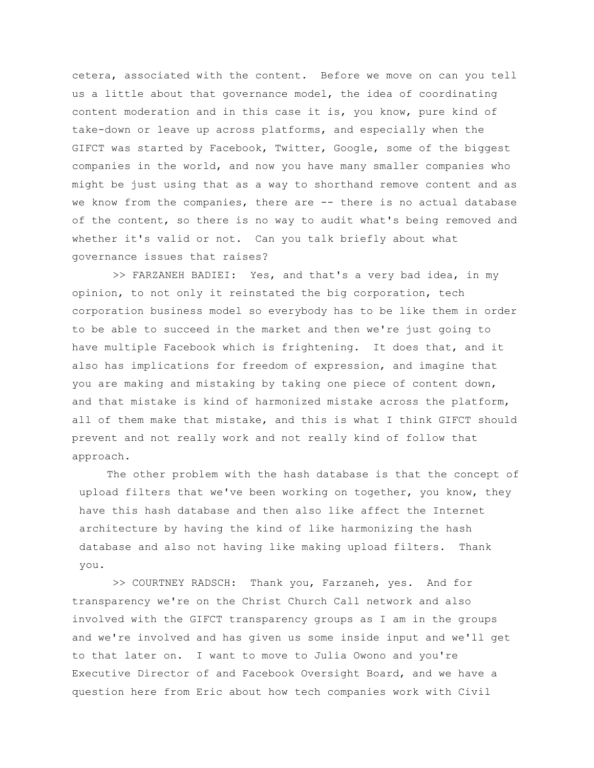cetera, associated with the content. Before we move on can you tell us a little about that governance model, the idea of coordinating content moderation and in this case it is, you know, pure kind of take-down or leave up across platforms, and especially when the GIFCT was started by Facebook, Twitter, Google, some of the biggest companies in the world, and now you have many smaller companies who might be just using that as a way to shorthand remove content and as we know from the companies, there are -- there is no actual database of the content, so there is no way to audit what's being removed and whether it's valid or not. Can you talk briefly about what governance issues that raises?

>> FARZANEH BADIEI: Yes, and that's a very bad idea, in my opinion, to not only it reinstated the big corporation, tech corporation business model so everybody has to be like them in order to be able to succeed in the market and then we're just going to have multiple Facebook which is frightening. It does that, and it also has implications for freedom of expression, and imagine that you are making and mistaking by taking one piece of content down, and that mistake is kind of harmonized mistake across the platform, all of them make that mistake, and this is what I think GIFCT should prevent and not really work and not really kind of follow that approach.

The other problem with the hash database is that the concept of upload filters that we've been working on together, you know, they have this hash database and then also like affect the Internet architecture by having the kind of like harmonizing the hash database and also not having like making upload filters. Thank you.

>> COURTNEY RADSCH: Thank you, Farzaneh, yes. And for transparency we're on the Christ Church Call network and also involved with the GIFCT transparency groups as I am in the groups and we're involved and has given us some inside input and we'll get to that later on. I want to move to Julia Owono and you're Executive Director of and Facebook Oversight Board, and we have a question here from Eric about how tech companies work with Civil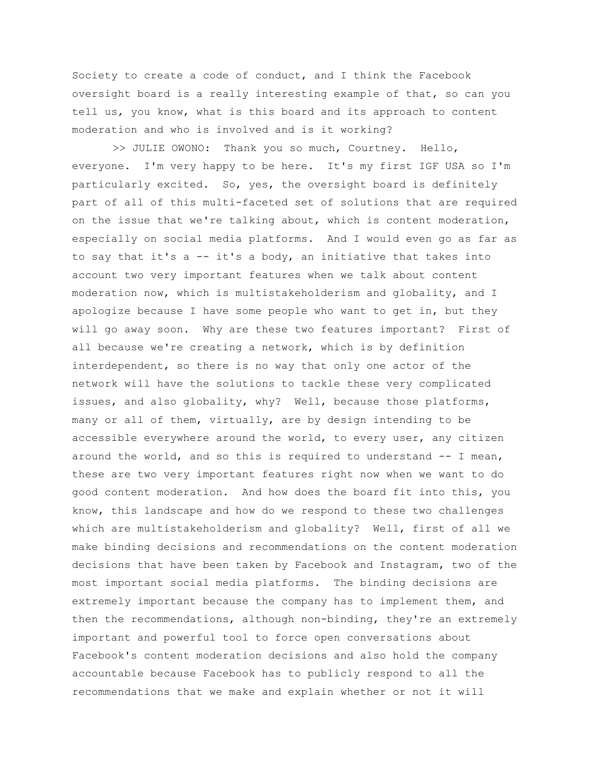Society to create a code of conduct, and I think the Facebook oversight board is a really interesting example of that, so can you tell us, you know, what is this board and its approach to content moderation and who is involved and is it working?

>> JULIE OWONO: Thank you so much, Courtney. Hello, everyone. I'm very happy to be here. It's my first IGF USA so I'm particularly excited. So, yes, the oversight board is definitely part of all of this multi-faceted set of solutions that are required on the issue that we're talking about, which is content moderation, especially on social media platforms. And I would even go as far as to say that it's a -- it's a body, an initiative that takes into account two very important features when we talk about content moderation now, which is multistakeholderism and globality, and I apologize because I have some people who want to get in, but they will go away soon. Why are these two features important? First of all because we're creating a network, which is by definition interdependent, so there is no way that only one actor of the network will have the solutions to tackle these very complicated issues, and also globality, why? Well, because those platforms, many or all of them, virtually, are by design intending to be accessible everywhere around the world, to every user, any citizen around the world, and so this is required to understand -- I mean, these are two very important features right now when we want to do good content moderation. And how does the board fit into this, you know, this landscape and how do we respond to these two challenges which are multistakeholderism and globality? Well, first of all we make binding decisions and recommendations on the content moderation decisions that have been taken by Facebook and Instagram, two of the most important social media platforms. The binding decisions are extremely important because the company has to implement them, and then the recommendations, although non-binding, they're an extremely important and powerful tool to force open conversations about Facebook's content moderation decisions and also hold the company accountable because Facebook has to publicly respond to all the recommendations that we make and explain whether or not it will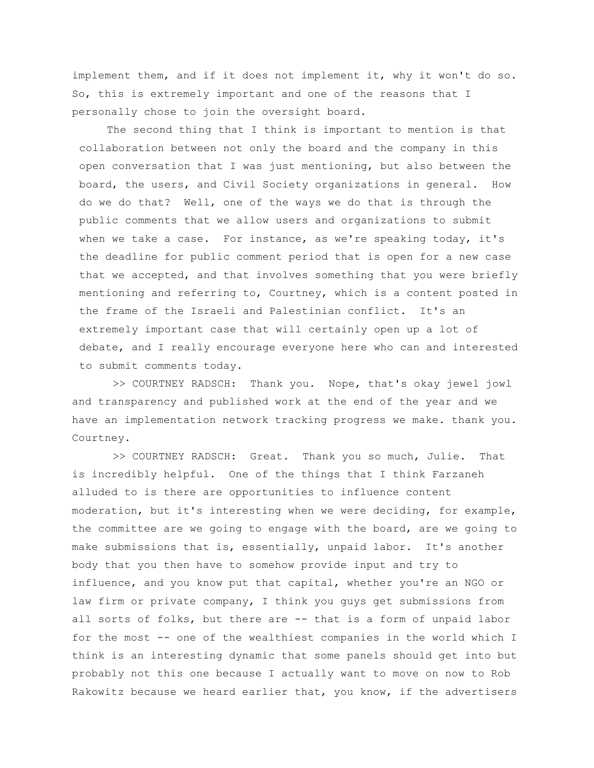implement them, and if it does not implement it, why it won't do so. So, this is extremely important and one of the reasons that I personally chose to join the oversight board.

The second thing that I think is important to mention is that collaboration between not only the board and the company in this open conversation that I was just mentioning, but also between the board, the users, and Civil Society organizations in general. How do we do that? Well, one of the ways we do that is through the public comments that we allow users and organizations to submit when we take a case. For instance, as we're speaking today, it's the deadline for public comment period that is open for a new case that we accepted, and that involves something that you were briefly mentioning and referring to, Courtney, which is a content posted in the frame of the Israeli and Palestinian conflict. It's an extremely important case that will certainly open up a lot of debate, and I really encourage everyone here who can and interested to submit comments today.

>> COURTNEY RADSCH: Thank you. Nope, that's okay jewel jowl and transparency and published work at the end of the year and we have an implementation network tracking progress we make. thank you. Courtney.

>> COURTNEY RADSCH: Great. Thank you so much, Julie. That is incredibly helpful. One of the things that I think Farzaneh alluded to is there are opportunities to influence content moderation, but it's interesting when we were deciding, for example, the committee are we going to engage with the board, are we going to make submissions that is, essentially, unpaid labor. It's another body that you then have to somehow provide input and try to influence, and you know put that capital, whether you're an NGO or law firm or private company, I think you guys get submissions from all sorts of folks, but there are -- that is a form of unpaid labor for the most -- one of the wealthiest companies in the world which I think is an interesting dynamic that some panels should get into but probably not this one because I actually want to move on now to Rob Rakowitz because we heard earlier that, you know, if the advertisers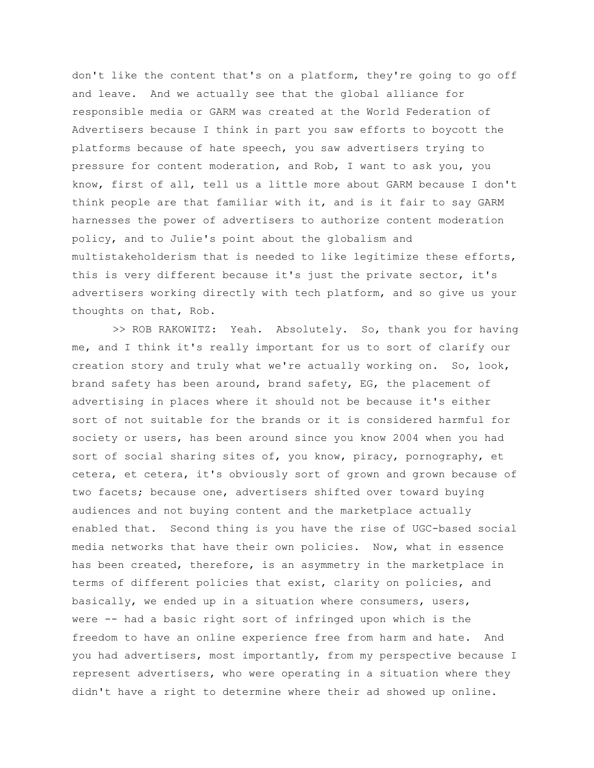don't like the content that's on a platform, they're going to go off and leave. And we actually see that the global alliance for responsible media or GARM was created at the World Federation of Advertisers because I think in part you saw efforts to boycott the platforms because of hate speech, you saw advertisers trying to pressure for content moderation, and Rob, I want to ask you, you know, first of all, tell us a little more about GARM because I don't think people are that familiar with it, and is it fair to say GARM harnesses the power of advertisers to authorize content moderation policy, and to Julie's point about the globalism and multistakeholderism that is needed to like legitimize these efforts, this is very different because it's just the private sector, it's advertisers working directly with tech platform, and so give us your thoughts on that, Rob.

>> ROB RAKOWITZ: Yeah. Absolutely. So, thank you for having me, and I think it's really important for us to sort of clarify our creation story and truly what we're actually working on. So, look, brand safety has been around, brand safety, EG, the placement of advertising in places where it should not be because it's either sort of not suitable for the brands or it is considered harmful for society or users, has been around since you know 2004 when you had sort of social sharing sites of, you know, piracy, pornography, et cetera, et cetera, it's obviously sort of grown and grown because of two facets; because one, advertisers shifted over toward buying audiences and not buying content and the marketplace actually enabled that. Second thing is you have the rise of UGC-based social media networks that have their own policies. Now, what in essence has been created, therefore, is an asymmetry in the marketplace in terms of different policies that exist, clarity on policies, and basically, we ended up in a situation where consumers, users, were -- had a basic right sort of infringed upon which is the freedom to have an online experience free from harm and hate. And you had advertisers, most importantly, from my perspective because I represent advertisers, who were operating in a situation where they didn't have a right to determine where their ad showed up online.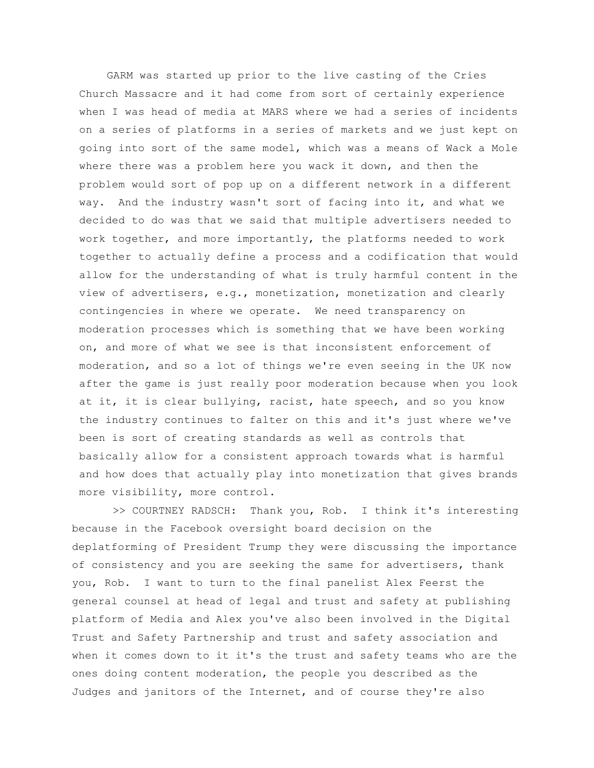GARM was started up prior to the live casting of the Cries Church Massacre and it had come from sort of certainly experience when I was head of media at MARS where we had a series of incidents on a series of platforms in a series of markets and we just kept on going into sort of the same model, which was a means of Wack a Mole where there was a problem here you wack it down, and then the problem would sort of pop up on a different network in a different way. And the industry wasn't sort of facing into it, and what we decided to do was that we said that multiple advertisers needed to work together, and more importantly, the platforms needed to work together to actually define a process and a codification that would allow for the understanding of what is truly harmful content in the view of advertisers, e.g., monetization, monetization and clearly contingencies in where we operate. We need transparency on moderation processes which is something that we have been working on, and more of what we see is that inconsistent enforcement of moderation, and so a lot of things we're even seeing in the UK now after the game is just really poor moderation because when you look at it, it is clear bullying, racist, hate speech, and so you know the industry continues to falter on this and it's just where we've been is sort of creating standards as well as controls that basically allow for a consistent approach towards what is harmful and how does that actually play into monetization that gives brands more visibility, more control.

>> COURTNEY RADSCH: Thank you, Rob. I think it's interesting because in the Facebook oversight board decision on the deplatforming of President Trump they were discussing the importance of consistency and you are seeking the same for advertisers, thank you, Rob. I want to turn to the final panelist Alex Feerst the general counsel at head of legal and trust and safety at publishing platform of Media and Alex you've also been involved in the Digital Trust and Safety Partnership and trust and safety association and when it comes down to it it's the trust and safety teams who are the ones doing content moderation, the people you described as the Judges and janitors of the Internet, and of course they're also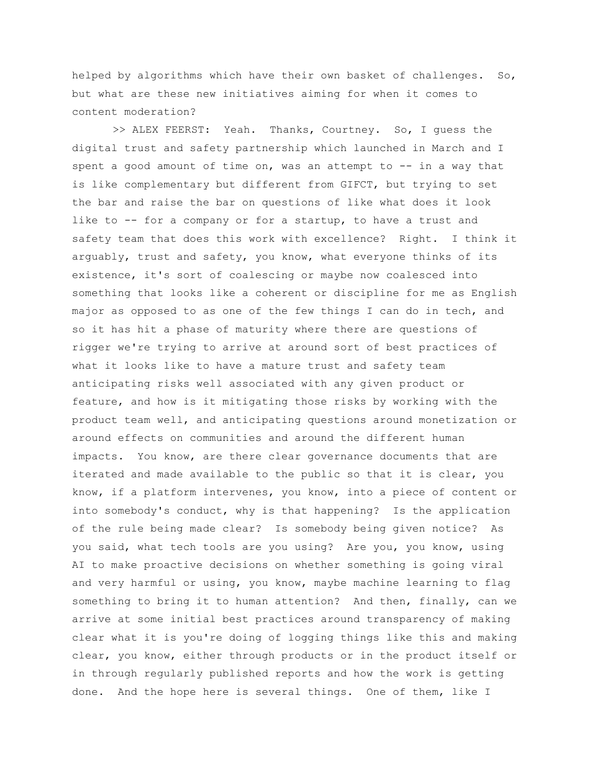helped by algorithms which have their own basket of challenges. So, but what are these new initiatives aiming for when it comes to content moderation?

>> ALEX FEERST: Yeah. Thanks, Courtney. So, I guess the digital trust and safety partnership which launched in March and I spent a good amount of time on, was an attempt to  $--$  in a way that is like complementary but different from GIFCT, but trying to set the bar and raise the bar on questions of like what does it look like to -- for a company or for a startup, to have a trust and safety team that does this work with excellence? Right. I think it arguably, trust and safety, you know, what everyone thinks of its existence, it's sort of coalescing or maybe now coalesced into something that looks like a coherent or discipline for me as English major as opposed to as one of the few things I can do in tech, and so it has hit a phase of maturity where there are questions of rigger we're trying to arrive at around sort of best practices of what it looks like to have a mature trust and safety team anticipating risks well associated with any given product or feature, and how is it mitigating those risks by working with the product team well, and anticipating questions around monetization or around effects on communities and around the different human impacts. You know, are there clear governance documents that are iterated and made available to the public so that it is clear, you know, if a platform intervenes, you know, into a piece of content or into somebody's conduct, why is that happening? Is the application of the rule being made clear? Is somebody being given notice? As you said, what tech tools are you using? Are you, you know, using AI to make proactive decisions on whether something is going viral and very harmful or using, you know, maybe machine learning to flag something to bring it to human attention? And then, finally, can we arrive at some initial best practices around transparency of making clear what it is you're doing of logging things like this and making clear, you know, either through products or in the product itself or in through regularly published reports and how the work is getting done. And the hope here is several things. One of them, like I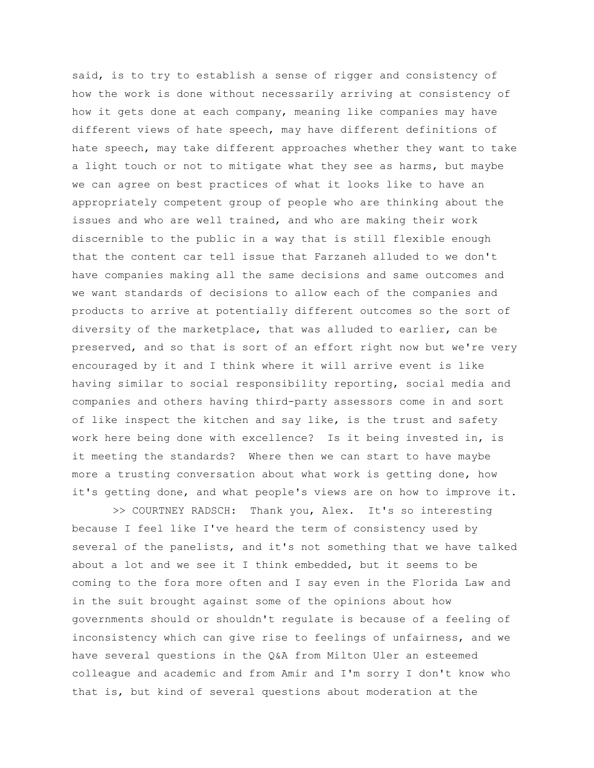said, is to try to establish a sense of rigger and consistency of how the work is done without necessarily arriving at consistency of how it gets done at each company, meaning like companies may have different views of hate speech, may have different definitions of hate speech, may take different approaches whether they want to take a light touch or not to mitigate what they see as harms, but maybe we can agree on best practices of what it looks like to have an appropriately competent group of people who are thinking about the issues and who are well trained, and who are making their work discernible to the public in a way that is still flexible enough that the content car tell issue that Farzaneh alluded to we don't have companies making all the same decisions and same outcomes and we want standards of decisions to allow each of the companies and products to arrive at potentially different outcomes so the sort of diversity of the marketplace, that was alluded to earlier, can be preserved, and so that is sort of an effort right now but we're very encouraged by it and I think where it will arrive event is like having similar to social responsibility reporting, social media and companies and others having third-party assessors come in and sort of like inspect the kitchen and say like, is the trust and safety work here being done with excellence? Is it being invested in, is it meeting the standards? Where then we can start to have maybe more a trusting conversation about what work is getting done, how it's getting done, and what people's views are on how to improve it.

>> COURTNEY RADSCH: Thank you, Alex. It's so interesting because I feel like I've heard the term of consistency used by several of the panelists, and it's not something that we have talked about a lot and we see it I think embedded, but it seems to be coming to the fora more often and I say even in the Florida Law and in the suit brought against some of the opinions about how governments should or shouldn't regulate is because of a feeling of inconsistency which can give rise to feelings of unfairness, and we have several questions in the Q&A from Milton Uler an esteemed colleague and academic and from Amir and I'm sorry I don't know who that is, but kind of several questions about moderation at the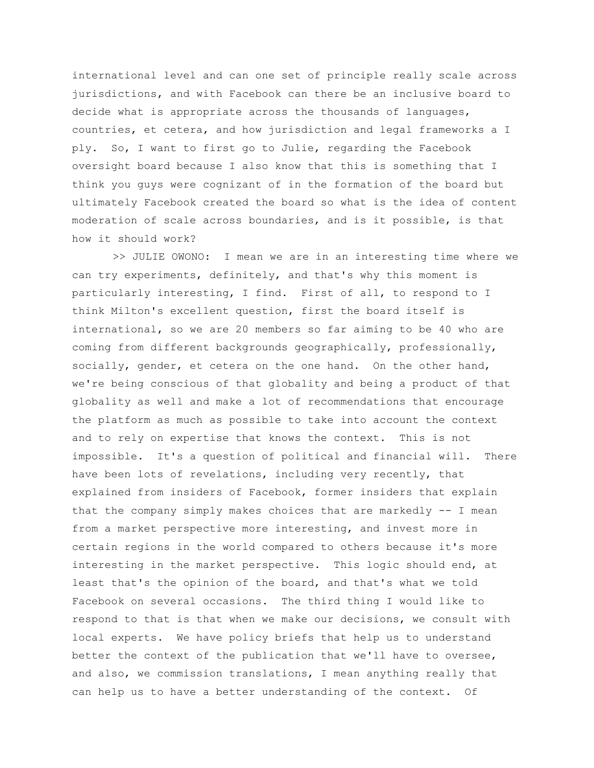international level and can one set of principle really scale across jurisdictions, and with Facebook can there be an inclusive board to decide what is appropriate across the thousands of languages, countries, et cetera, and how jurisdiction and legal frameworks a I ply. So, I want to first go to Julie, regarding the Facebook oversight board because I also know that this is something that I think you guys were cognizant of in the formation of the board but ultimately Facebook created the board so what is the idea of content moderation of scale across boundaries, and is it possible, is that how it should work?

>> JULIE OWONO: I mean we are in an interesting time where we can try experiments, definitely, and that's why this moment is particularly interesting, I find. First of all, to respond to I think Milton's excellent question, first the board itself is international, so we are 20 members so far aiming to be 40 who are coming from different backgrounds geographically, professionally, socially, gender, et cetera on the one hand. On the other hand, we're being conscious of that globality and being a product of that globality as well and make a lot of recommendations that encourage the platform as much as possible to take into account the context and to rely on expertise that knows the context. This is not impossible. It's a question of political and financial will. There have been lots of revelations, including very recently, that explained from insiders of Facebook, former insiders that explain that the company simply makes choices that are markedly  $-$ - I mean from a market perspective more interesting, and invest more in certain regions in the world compared to others because it's more interesting in the market perspective. This logic should end, at least that's the opinion of the board, and that's what we told Facebook on several occasions. The third thing I would like to respond to that is that when we make our decisions, we consult with local experts. We have policy briefs that help us to understand better the context of the publication that we'll have to oversee, and also, we commission translations, I mean anything really that can help us to have a better understanding of the context. Of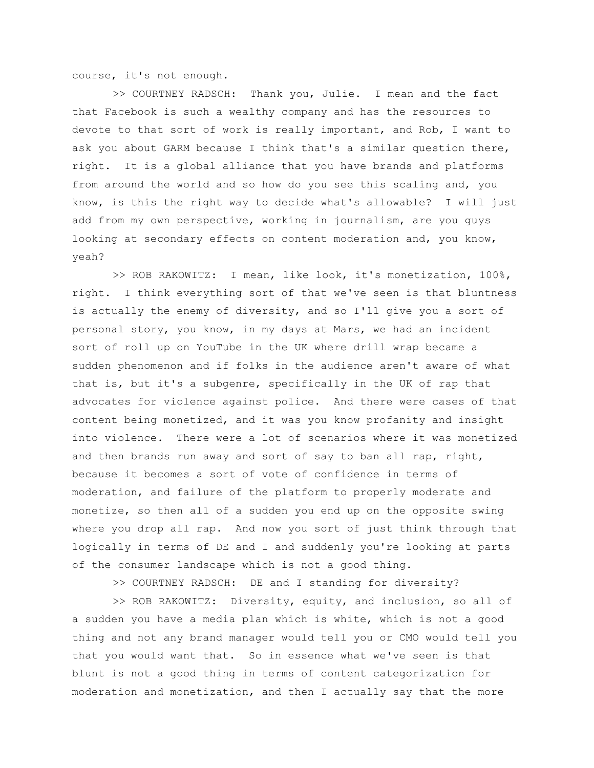course, it's not enough.

>> COURTNEY RADSCH: Thank you, Julie. I mean and the fact that Facebook is such a wealthy company and has the resources to devote to that sort of work is really important, and Rob, I want to ask you about GARM because I think that's a similar question there, right. It is a global alliance that you have brands and platforms from around the world and so how do you see this scaling and, you know, is this the right way to decide what's allowable? I will just add from my own perspective, working in journalism, are you guys looking at secondary effects on content moderation and, you know, yeah?

>> ROB RAKOWITZ: I mean, like look, it's monetization, 100%, right. I think everything sort of that we've seen is that bluntness is actually the enemy of diversity, and so I'll give you a sort of personal story, you know, in my days at Mars, we had an incident sort of roll up on YouTube in the UK where drill wrap became a sudden phenomenon and if folks in the audience aren't aware of what that is, but it's a subgenre, specifically in the UK of rap that advocates for violence against police. And there were cases of that content being monetized, and it was you know profanity and insight into violence. There were a lot of scenarios where it was monetized and then brands run away and sort of say to ban all rap, right, because it becomes a sort of vote of confidence in terms of moderation, and failure of the platform to properly moderate and monetize, so then all of a sudden you end up on the opposite swing where you drop all rap. And now you sort of just think through that logically in terms of DE and I and suddenly you're looking at parts of the consumer landscape which is not a good thing.

>> COURTNEY RADSCH: DE and I standing for diversity?

>> ROB RAKOWITZ: Diversity, equity, and inclusion, so all of a sudden you have a media plan which is white, which is not a good thing and not any brand manager would tell you or CMO would tell you that you would want that. So in essence what we've seen is that blunt is not a good thing in terms of content categorization for moderation and monetization, and then I actually say that the more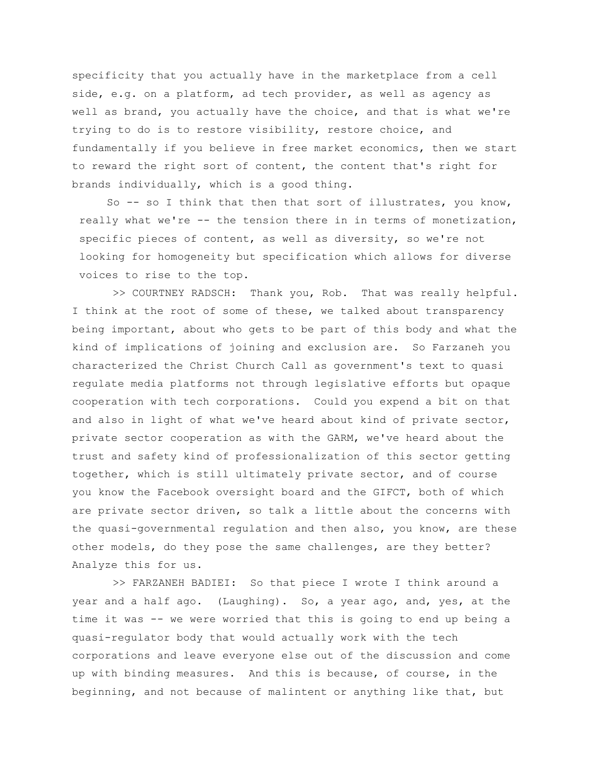specificity that you actually have in the marketplace from a cell side, e.g. on a platform, ad tech provider, as well as agency as well as brand, you actually have the choice, and that is what we're trying to do is to restore visibility, restore choice, and fundamentally if you believe in free market economics, then we start to reward the right sort of content, the content that's right for brands individually, which is a good thing.

So -- so I think that then that sort of illustrates, you know, really what we're -- the tension there in in terms of monetization, specific pieces of content, as well as diversity, so we're not looking for homogeneity but specification which allows for diverse voices to rise to the top.

>> COURTNEY RADSCH: Thank you, Rob. That was really helpful. I think at the root of some of these, we talked about transparency being important, about who gets to be part of this body and what the kind of implications of joining and exclusion are. So Farzaneh you characterized the Christ Church Call as government's text to quasi regulate media platforms not through legislative efforts but opaque cooperation with tech corporations. Could you expend a bit on that and also in light of what we've heard about kind of private sector, private sector cooperation as with the GARM, we've heard about the trust and safety kind of professionalization of this sector getting together, which is still ultimately private sector, and of course you know the Facebook oversight board and the GIFCT, both of which are private sector driven, so talk a little about the concerns with the quasi-governmental regulation and then also, you know, are these other models, do they pose the same challenges, are they better? Analyze this for us.

>> FARZANEH BADIEI: So that piece I wrote I think around a year and a half ago. (Laughing). So, a year ago, and, yes, at the time it was -- we were worried that this is going to end up being a quasi-regulator body that would actually work with the tech corporations and leave everyone else out of the discussion and come up with binding measures. And this is because, of course, in the beginning, and not because of malintent or anything like that, but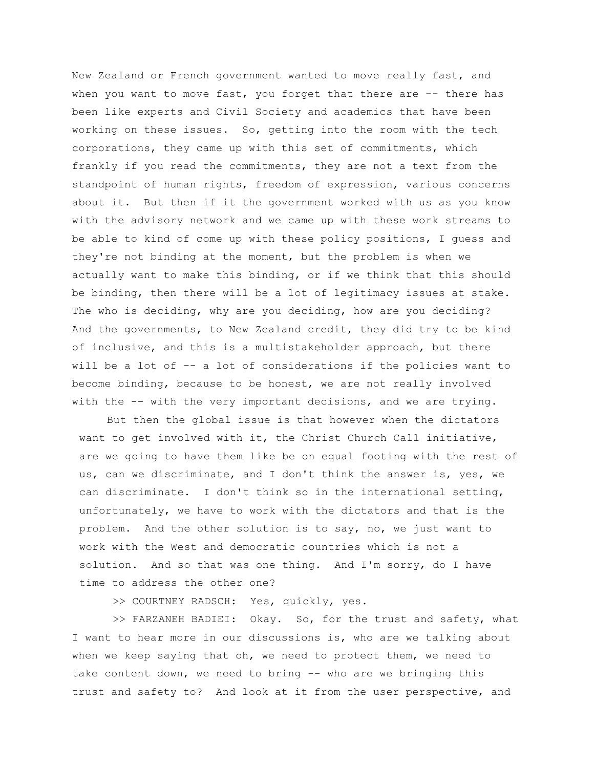New Zealand or French government wanted to move really fast, and when you want to move fast, you forget that there are -- there has been like experts and Civil Society and academics that have been working on these issues. So, getting into the room with the tech corporations, they came up with this set of commitments, which frankly if you read the commitments, they are not a text from the standpoint of human rights, freedom of expression, various concerns about it. But then if it the government worked with us as you know with the advisory network and we came up with these work streams to be able to kind of come up with these policy positions, I guess and they're not binding at the moment, but the problem is when we actually want to make this binding, or if we think that this should be binding, then there will be a lot of legitimacy issues at stake. The who is deciding, why are you deciding, how are you deciding? And the governments, to New Zealand credit, they did try to be kind of inclusive, and this is a multistakeholder approach, but there will be a lot of -- a lot of considerations if the policies want to become binding, because to be honest, we are not really involved with the -- with the very important decisions, and we are trying.

But then the global issue is that however when the dictators want to get involved with it, the Christ Church Call initiative, are we going to have them like be on equal footing with the rest of us, can we discriminate, and I don't think the answer is, yes, we can discriminate. I don't think so in the international setting, unfortunately, we have to work with the dictators and that is the problem. And the other solution is to say, no, we just want to work with the West and democratic countries which is not a solution. And so that was one thing. And I'm sorry, do I have time to address the other one?

>> COURTNEY RADSCH: Yes, quickly, yes.

>> FARZANEH BADIEI: Okay. So, for the trust and safety, what I want to hear more in our discussions is, who are we talking about when we keep saying that oh, we need to protect them, we need to take content down, we need to bring -- who are we bringing this trust and safety to? And look at it from the user perspective, and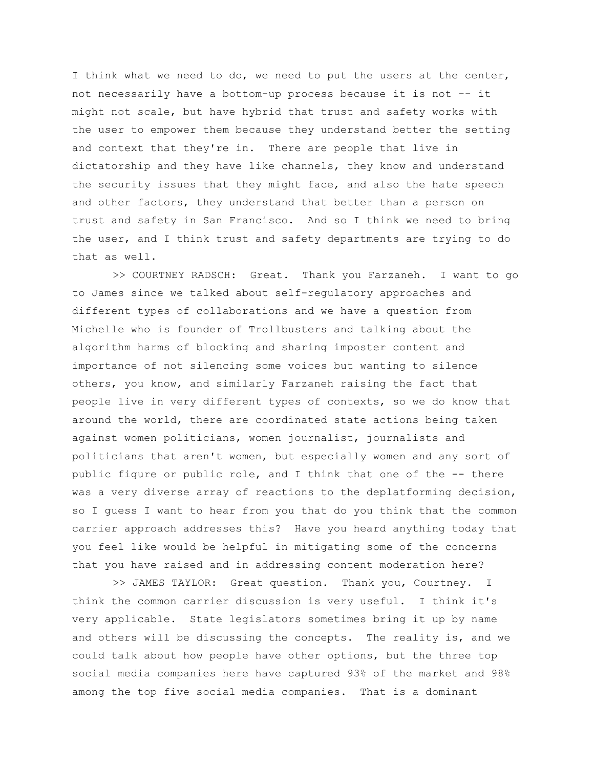I think what we need to do, we need to put the users at the center, not necessarily have a bottom-up process because it is not -- it might not scale, but have hybrid that trust and safety works with the user to empower them because they understand better the setting and context that they're in. There are people that live in dictatorship and they have like channels, they know and understand the security issues that they might face, and also the hate speech and other factors, they understand that better than a person on trust and safety in San Francisco. And so I think we need to bring the user, and I think trust and safety departments are trying to do that as well.

>> COURTNEY RADSCH: Great. Thank you Farzaneh. I want to go to James since we talked about self-regulatory approaches and different types of collaborations and we have a question from Michelle who is founder of Trollbusters and talking about the algorithm harms of blocking and sharing imposter content and importance of not silencing some voices but wanting to silence others, you know, and similarly Farzaneh raising the fact that people live in very different types of contexts, so we do know that around the world, there are coordinated state actions being taken against women politicians, women journalist, journalists and politicians that aren't women, but especially women and any sort of public figure or public role, and I think that one of the -- there was a very diverse array of reactions to the deplatforming decision, so I guess I want to hear from you that do you think that the common carrier approach addresses this? Have you heard anything today that you feel like would be helpful in mitigating some of the concerns that you have raised and in addressing content moderation here?

>> JAMES TAYLOR: Great question. Thank you, Courtney. I think the common carrier discussion is very useful. I think it's very applicable. State legislators sometimes bring it up by name and others will be discussing the concepts. The reality is, and we could talk about how people have other options, but the three top social media companies here have captured 93% of the market and 98% among the top five social media companies. That is a dominant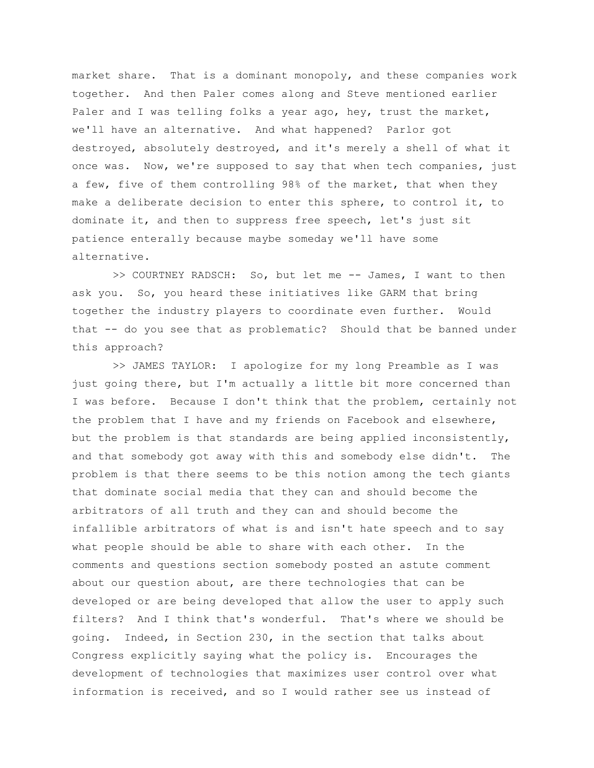market share. That is a dominant monopoly, and these companies work together. And then Paler comes along and Steve mentioned earlier Paler and I was telling folks a year ago, hey, trust the market, we'll have an alternative. And what happened? Parlor got destroyed, absolutely destroyed, and it's merely a shell of what it once was. Now, we're supposed to say that when tech companies, just a few, five of them controlling 98% of the market, that when they make a deliberate decision to enter this sphere, to control it, to dominate it, and then to suppress free speech, let's just sit patience enterally because maybe someday we'll have some alternative.

>> COURTNEY RADSCH: So, but let me -- James, I want to then ask you. So, you heard these initiatives like GARM that bring together the industry players to coordinate even further. Would that -- do you see that as problematic? Should that be banned under this approach?

>> JAMES TAYLOR: I apologize for my long Preamble as I was just going there, but I'm actually a little bit more concerned than I was before. Because I don't think that the problem, certainly not the problem that I have and my friends on Facebook and elsewhere, but the problem is that standards are being applied inconsistently, and that somebody got away with this and somebody else didn't. The problem is that there seems to be this notion among the tech giants that dominate social media that they can and should become the arbitrators of all truth and they can and should become the infallible arbitrators of what is and isn't hate speech and to say what people should be able to share with each other. In the comments and questions section somebody posted an astute comment about our question about, are there technologies that can be developed or are being developed that allow the user to apply such filters? And I think that's wonderful. That's where we should be going. Indeed, in Section 230, in the section that talks about Congress explicitly saying what the policy is. Encourages the development of technologies that maximizes user control over what information is received, and so I would rather see us instead of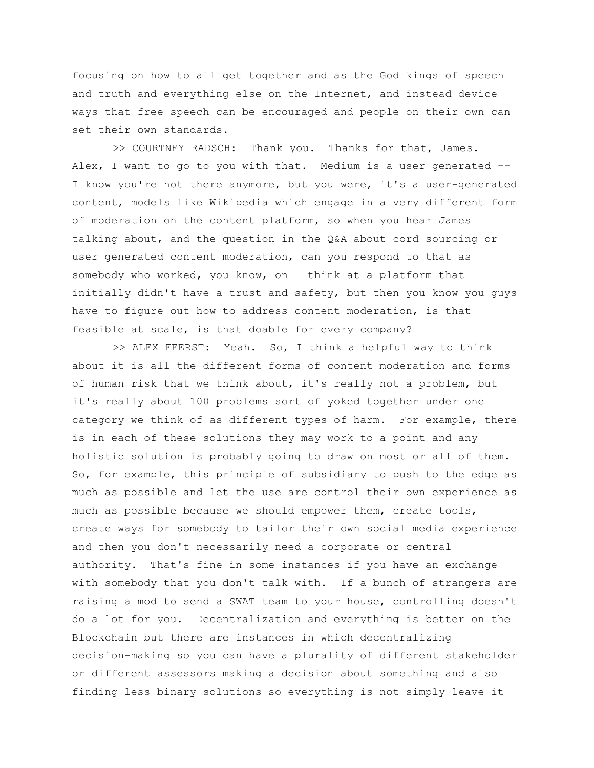focusing on how to all get together and as the God kings of speech and truth and everything else on the Internet, and instead device ways that free speech can be encouraged and people on their own can set their own standards.

>> COURTNEY RADSCH: Thank you. Thanks for that, James. Alex, I want to go to you with that. Medium is a user generated --I know you're not there anymore, but you were, it's a user-generated content, models like Wikipedia which engage in a very different form of moderation on the content platform, so when you hear James talking about, and the question in the Q&A about cord sourcing or user generated content moderation, can you respond to that as somebody who worked, you know, on I think at a platform that initially didn't have a trust and safety, but then you know you guys have to figure out how to address content moderation, is that feasible at scale, is that doable for every company?

>> ALEX FEERST: Yeah. So, I think a helpful way to think about it is all the different forms of content moderation and forms of human risk that we think about, it's really not a problem, but it's really about 100 problems sort of yoked together under one category we think of as different types of harm. For example, there is in each of these solutions they may work to a point and any holistic solution is probably going to draw on most or all of them. So, for example, this principle of subsidiary to push to the edge as much as possible and let the use are control their own experience as much as possible because we should empower them, create tools, create ways for somebody to tailor their own social media experience and then you don't necessarily need a corporate or central authority. That's fine in some instances if you have an exchange with somebody that you don't talk with. If a bunch of strangers are raising a mod to send a SWAT team to your house, controlling doesn't do a lot for you. Decentralization and everything is better on the Blockchain but there are instances in which decentralizing decision-making so you can have a plurality of different stakeholder or different assessors making a decision about something and also finding less binary solutions so everything is not simply leave it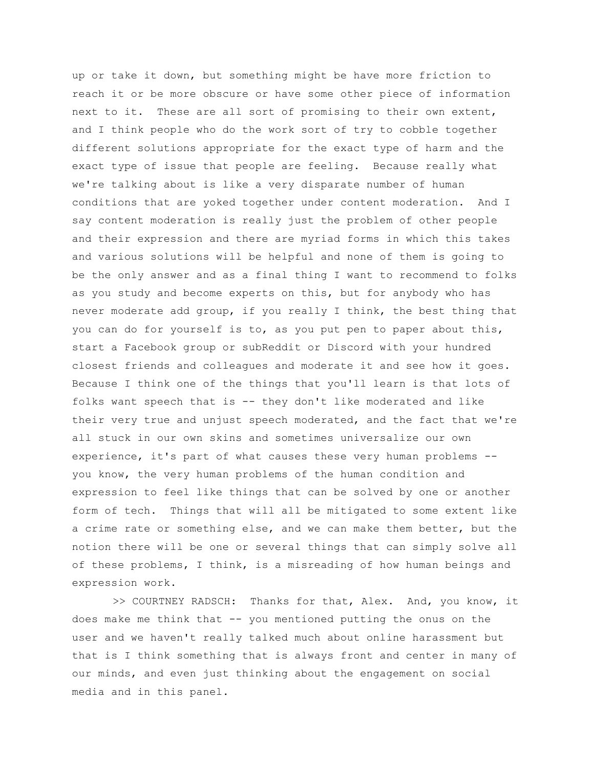up or take it down, but something might be have more friction to reach it or be more obscure or have some other piece of information next to it. These are all sort of promising to their own extent, and I think people who do the work sort of try to cobble together different solutions appropriate for the exact type of harm and the exact type of issue that people are feeling. Because really what we're talking about is like a very disparate number of human conditions that are yoked together under content moderation. And I say content moderation is really just the problem of other people and their expression and there are myriad forms in which this takes and various solutions will be helpful and none of them is going to be the only answer and as a final thing I want to recommend to folks as you study and become experts on this, but for anybody who has never moderate add group, if you really I think, the best thing that you can do for yourself is to, as you put pen to paper about this, start a Facebook group or subReddit or Discord with your hundred closest friends and colleagues and moderate it and see how it goes. Because I think one of the things that you'll learn is that lots of folks want speech that is -- they don't like moderated and like their very true and unjust speech moderated, and the fact that we're all stuck in our own skins and sometimes universalize our own experience, it's part of what causes these very human problems - you know, the very human problems of the human condition and expression to feel like things that can be solved by one or another form of tech. Things that will all be mitigated to some extent like a crime rate or something else, and we can make them better, but the notion there will be one or several things that can simply solve all of these problems, I think, is a misreading of how human beings and expression work.

>> COURTNEY RADSCH: Thanks for that, Alex. And, you know, it does make me think that -- you mentioned putting the onus on the user and we haven't really talked much about online harassment but that is I think something that is always front and center in many of our minds, and even just thinking about the engagement on social media and in this panel.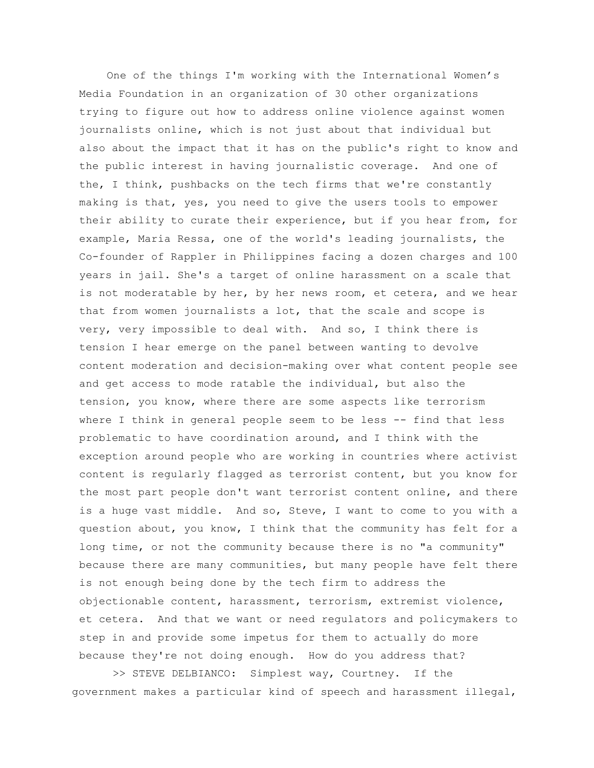One of the things I'm working with the International Women's Media Foundation in an organization of 30 other organizations trying to figure out how to address online violence against women journalists online, which is not just about that individual but also about the impact that it has on the public's right to know and the public interest in having journalistic coverage. And one of the, I think, pushbacks on the tech firms that we're constantly making is that, yes, you need to give the users tools to empower their ability to curate their experience, but if you hear from, for example, Maria Ressa, one of the world's leading journalists, the Co-founder of Rappler in Philippines facing a dozen charges and 100 years in jail. She's a target of online harassment on a scale that is not moderatable by her, by her news room, et cetera, and we hear that from women journalists a lot, that the scale and scope is very, very impossible to deal with. And so, I think there is tension I hear emerge on the panel between wanting to devolve content moderation and decision-making over what content people see and get access to mode ratable the individual, but also the tension, you know, where there are some aspects like terrorism where I think in general people seem to be less -- find that less problematic to have coordination around, and I think with the exception around people who are working in countries where activist content is regularly flagged as terrorist content, but you know for the most part people don't want terrorist content online, and there is a huge vast middle. And so, Steve, I want to come to you with a question about, you know, I think that the community has felt for a long time, or not the community because there is no "a community" because there are many communities, but many people have felt there is not enough being done by the tech firm to address the objectionable content, harassment, terrorism, extremist violence, et cetera. And that we want or need regulators and policymakers to step in and provide some impetus for them to actually do more because they're not doing enough. How do you address that?

>> STEVE DELBIANCO: Simplest way, Courtney. If the government makes a particular kind of speech and harassment illegal,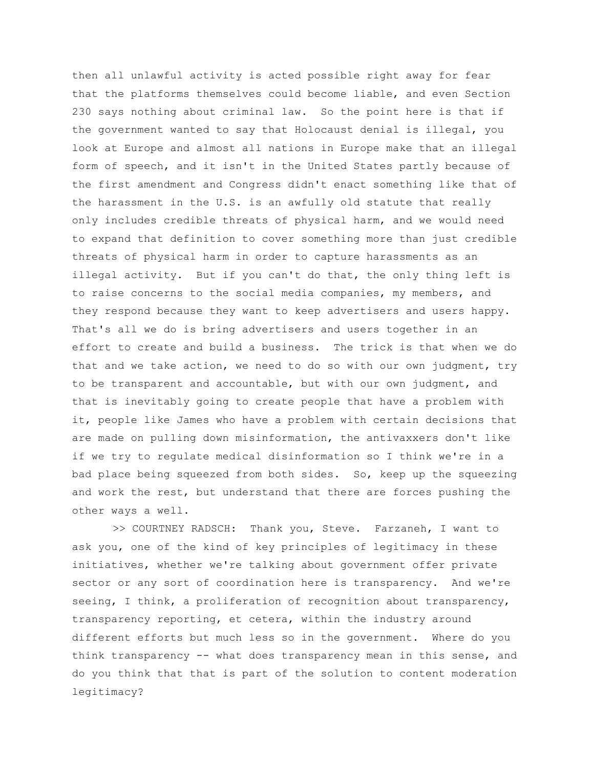then all unlawful activity is acted possible right away for fear that the platforms themselves could become liable, and even Section 230 says nothing about criminal law. So the point here is that if the government wanted to say that Holocaust denial is illegal, you look at Europe and almost all nations in Europe make that an illegal form of speech, and it isn't in the United States partly because of the first amendment and Congress didn't enact something like that of the harassment in the U.S. is an awfully old statute that really only includes credible threats of physical harm, and we would need to expand that definition to cover something more than just credible threats of physical harm in order to capture harassments as an illegal activity. But if you can't do that, the only thing left is to raise concerns to the social media companies, my members, and they respond because they want to keep advertisers and users happy. That's all we do is bring advertisers and users together in an effort to create and build a business. The trick is that when we do that and we take action, we need to do so with our own judgment, try to be transparent and accountable, but with our own judgment, and that is inevitably going to create people that have a problem with it, people like James who have a problem with certain decisions that are made on pulling down misinformation, the antivaxxers don't like if we try to regulate medical disinformation so I think we're in a bad place being squeezed from both sides. So, keep up the squeezing and work the rest, but understand that there are forces pushing the other ways a well.

>> COURTNEY RADSCH: Thank you, Steve. Farzaneh, I want to ask you, one of the kind of key principles of legitimacy in these initiatives, whether we're talking about government offer private sector or any sort of coordination here is transparency. And we're seeing, I think, a proliferation of recognition about transparency, transparency reporting, et cetera, within the industry around different efforts but much less so in the government. Where do you think transparency -- what does transparency mean in this sense, and do you think that that is part of the solution to content moderation legitimacy?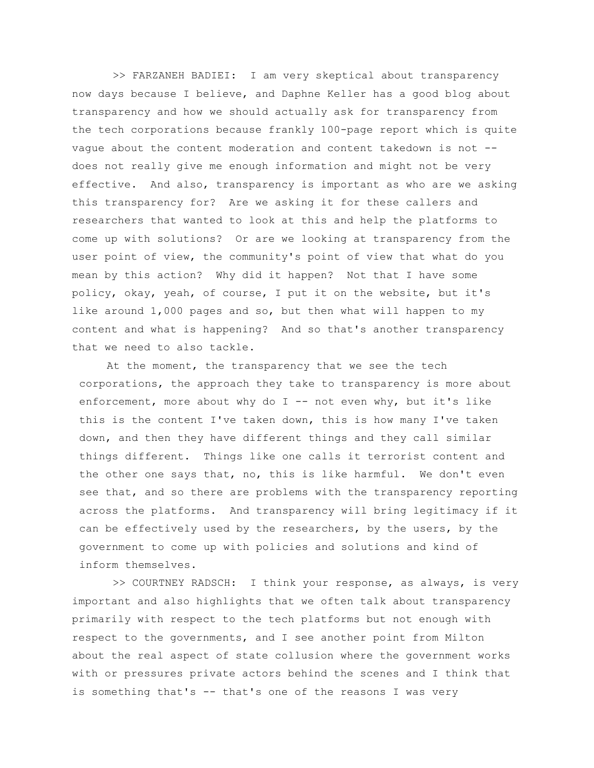>> FARZANEH BADIEI: I am very skeptical about transparency now days because I believe, and Daphne Keller has a good blog about transparency and how we should actually ask for transparency from the tech corporations because frankly 100-page report which is quite vague about the content moderation and content takedown is not - does not really give me enough information and might not be very effective. And also, transparency is important as who are we asking this transparency for? Are we asking it for these callers and researchers that wanted to look at this and help the platforms to come up with solutions? Or are we looking at transparency from the user point of view, the community's point of view that what do you mean by this action? Why did it happen? Not that I have some policy, okay, yeah, of course, I put it on the website, but it's like around 1,000 pages and so, but then what will happen to my content and what is happening? And so that's another transparency that we need to also tackle.

At the moment, the transparency that we see the tech corporations, the approach they take to transparency is more about enforcement, more about why do  $I$  -- not even why, but it's like this is the content I've taken down, this is how many I've taken down, and then they have different things and they call similar things different. Things like one calls it terrorist content and the other one says that, no, this is like harmful. We don't even see that, and so there are problems with the transparency reporting across the platforms. And transparency will bring legitimacy if it can be effectively used by the researchers, by the users, by the government to come up with policies and solutions and kind of inform themselves.

>> COURTNEY RADSCH: I think your response, as always, is very important and also highlights that we often talk about transparency primarily with respect to the tech platforms but not enough with respect to the governments, and I see another point from Milton about the real aspect of state collusion where the government works with or pressures private actors behind the scenes and I think that is something that's -- that's one of the reasons I was very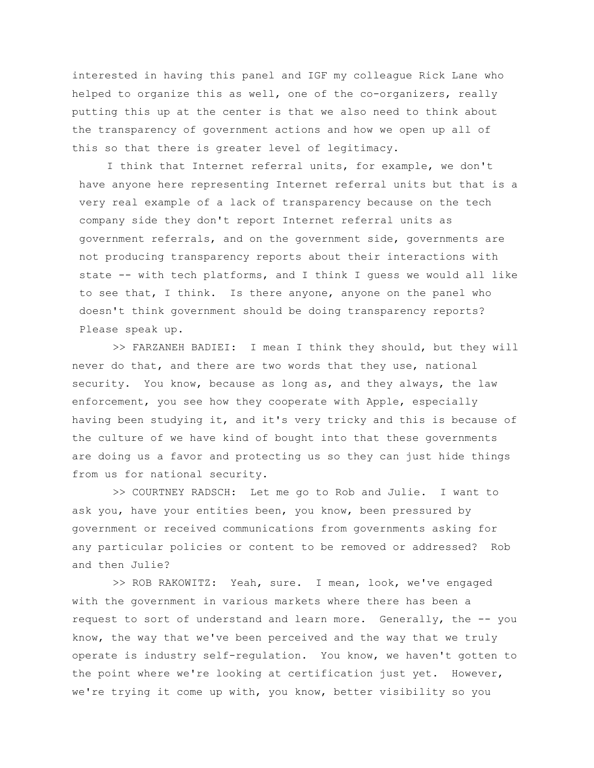interested in having this panel and IGF my colleague Rick Lane who helped to organize this as well, one of the co-organizers, really putting this up at the center is that we also need to think about the transparency of government actions and how we open up all of this so that there is greater level of legitimacy.

I think that Internet referral units, for example, we don't have anyone here representing Internet referral units but that is a very real example of a lack of transparency because on the tech company side they don't report Internet referral units as government referrals, and on the government side, governments are not producing transparency reports about their interactions with state -- with tech platforms, and I think I guess we would all like to see that, I think. Is there anyone, anyone on the panel who doesn't think government should be doing transparency reports? Please speak up.

>> FARZANEH BADIEI: I mean I think they should, but they will never do that, and there are two words that they use, national security. You know, because as long as, and they always, the law enforcement, you see how they cooperate with Apple, especially having been studying it, and it's very tricky and this is because of the culture of we have kind of bought into that these governments are doing us a favor and protecting us so they can just hide things from us for national security.

>> COURTNEY RADSCH: Let me go to Rob and Julie. I want to ask you, have your entities been, you know, been pressured by government or received communications from governments asking for any particular policies or content to be removed or addressed? Rob and then Julie?

>> ROB RAKOWITZ: Yeah, sure. I mean, look, we've engaged with the government in various markets where there has been a request to sort of understand and learn more. Generally, the -- you know, the way that we've been perceived and the way that we truly operate is industry self-regulation. You know, we haven't gotten to the point where we're looking at certification just yet. However, we're trying it come up with, you know, better visibility so you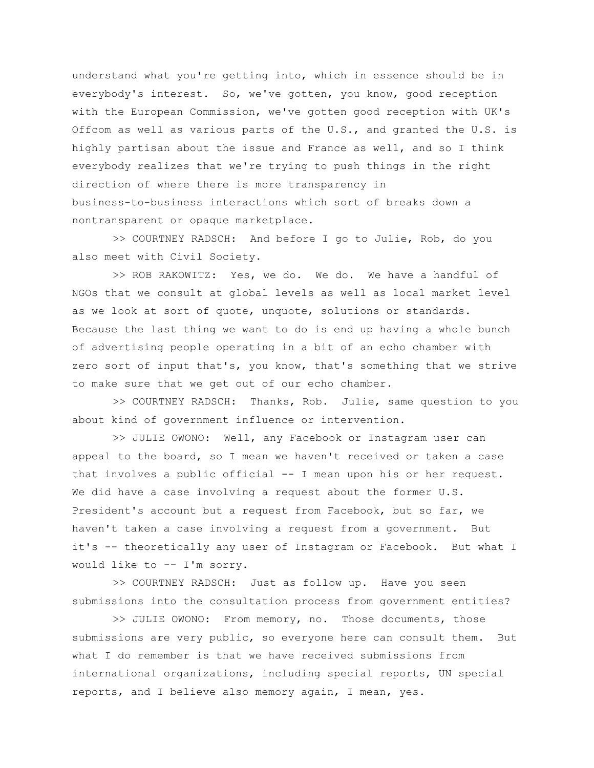understand what you're getting into, which in essence should be in everybody's interest. So, we've gotten, you know, good reception with the European Commission, we've gotten good reception with UK's Offcom as well as various parts of the U.S., and granted the U.S. is highly partisan about the issue and France as well, and so I think everybody realizes that we're trying to push things in the right direction of where there is more transparency in business-to-business interactions which sort of breaks down a nontransparent or opaque marketplace.

>> COURTNEY RADSCH: And before I go to Julie, Rob, do you also meet with Civil Society.

>> ROB RAKOWITZ: Yes, we do. We do. We have a handful of NGOs that we consult at global levels as well as local market level as we look at sort of quote, unquote, solutions or standards. Because the last thing we want to do is end up having a whole bunch of advertising people operating in a bit of an echo chamber with zero sort of input that's, you know, that's something that we strive to make sure that we get out of our echo chamber.

>> COURTNEY RADSCH: Thanks, Rob. Julie, same question to you about kind of government influence or intervention.

>> JULIE OWONO: Well, any Facebook or Instagram user can appeal to the board, so I mean we haven't received or taken a case that involves a public official -- I mean upon his or her request. We did have a case involving a request about the former U.S. President's account but a request from Facebook, but so far, we haven't taken a case involving a request from a government. But it's -- theoretically any user of Instagram or Facebook. But what I would like to -- I'm sorry.

>> COURTNEY RADSCH: Just as follow up. Have you seen submissions into the consultation process from government entities?

>> JULIE OWONO: From memory, no. Those documents, those submissions are very public, so everyone here can consult them. But what I do remember is that we have received submissions from international organizations, including special reports, UN special reports, and I believe also memory again, I mean, yes.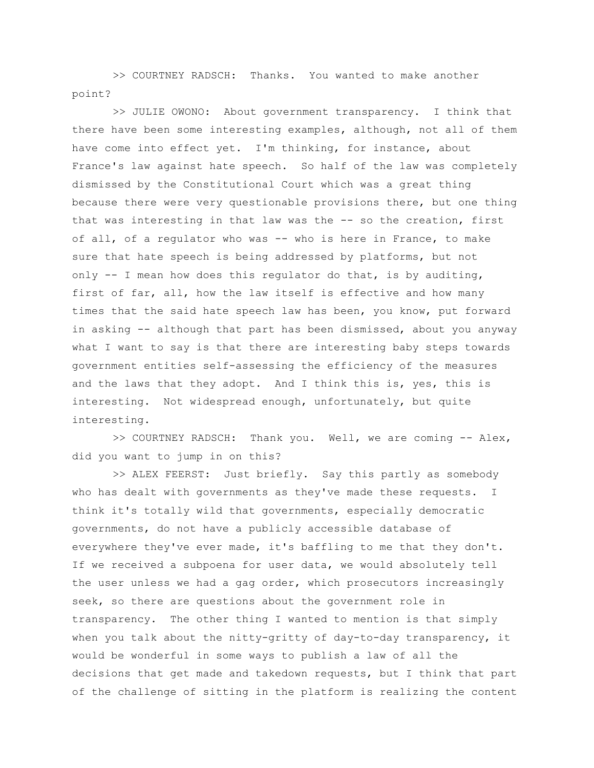>> COURTNEY RADSCH: Thanks. You wanted to make another point?

>> JULIE OWONO: About government transparency. I think that there have been some interesting examples, although, not all of them have come into effect yet. I'm thinking, for instance, about France's law against hate speech. So half of the law was completely dismissed by the Constitutional Court which was a great thing because there were very questionable provisions there, but one thing that was interesting in that law was the -- so the creation, first of all, of a regulator who was -- who is here in France, to make sure that hate speech is being addressed by platforms, but not only  $-$  I mean how does this regulator do that, is by auditing, first of far, all, how the law itself is effective and how many times that the said hate speech law has been, you know, put forward in asking -- although that part has been dismissed, about you anyway what I want to say is that there are interesting baby steps towards government entities self-assessing the efficiency of the measures and the laws that they adopt. And I think this is, yes, this is interesting. Not widespread enough, unfortunately, but quite interesting.

>> COURTNEY RADSCH: Thank you. Well, we are coming -- Alex, did you want to jump in on this?

>> ALEX FEERST: Just briefly. Say this partly as somebody who has dealt with governments as they've made these requests. I think it's totally wild that governments, especially democratic governments, do not have a publicly accessible database of everywhere they've ever made, it's baffling to me that they don't. If we received a subpoena for user data, we would absolutely tell the user unless we had a gag order, which prosecutors increasingly seek, so there are questions about the government role in transparency. The other thing I wanted to mention is that simply when you talk about the nitty-gritty of day-to-day transparency, it would be wonderful in some ways to publish a law of all the decisions that get made and takedown requests, but I think that part of the challenge of sitting in the platform is realizing the content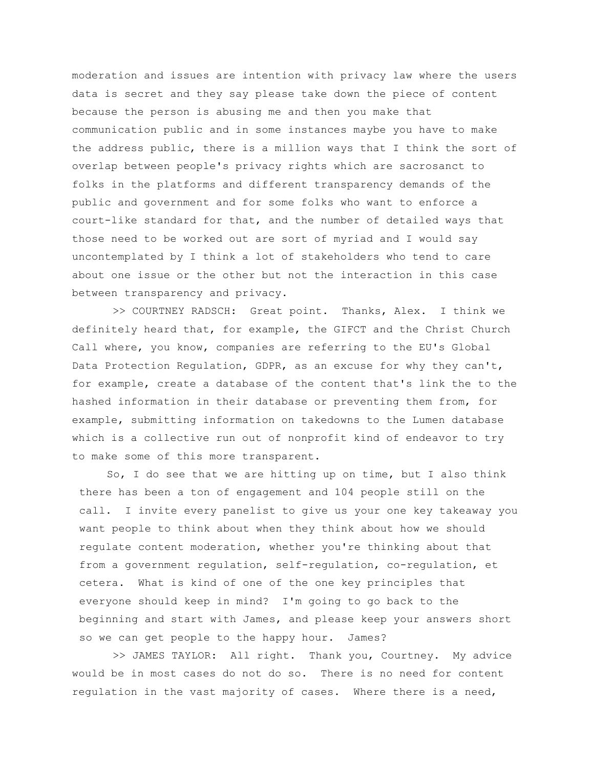moderation and issues are intention with privacy law where the users data is secret and they say please take down the piece of content because the person is abusing me and then you make that communication public and in some instances maybe you have to make the address public, there is a million ways that I think the sort of overlap between people's privacy rights which are sacrosanct to folks in the platforms and different transparency demands of the public and government and for some folks who want to enforce a court-like standard for that, and the number of detailed ways that those need to be worked out are sort of myriad and I would say uncontemplated by I think a lot of stakeholders who tend to care about one issue or the other but not the interaction in this case between transparency and privacy.

>> COURTNEY RADSCH: Great point. Thanks, Alex. I think we definitely heard that, for example, the GIFCT and the Christ Church Call where, you know, companies are referring to the EU's Global Data Protection Regulation, GDPR, as an excuse for why they can't, for example, create a database of the content that's link the to the hashed information in their database or preventing them from, for example, submitting information on takedowns to the Lumen database which is a collective run out of nonprofit kind of endeavor to try to make some of this more transparent.

So, I do see that we are hitting up on time, but I also think there has been a ton of engagement and 104 people still on the call. I invite every panelist to give us your one key takeaway you want people to think about when they think about how we should regulate content moderation, whether you're thinking about that from a government regulation, self-regulation, co-regulation, et cetera. What is kind of one of the one key principles that everyone should keep in mind? I'm going to go back to the beginning and start with James, and please keep your answers short so we can get people to the happy hour. James?

>> JAMES TAYLOR: All right. Thank you, Courtney. My advice would be in most cases do not do so. There is no need for content regulation in the vast majority of cases. Where there is a need,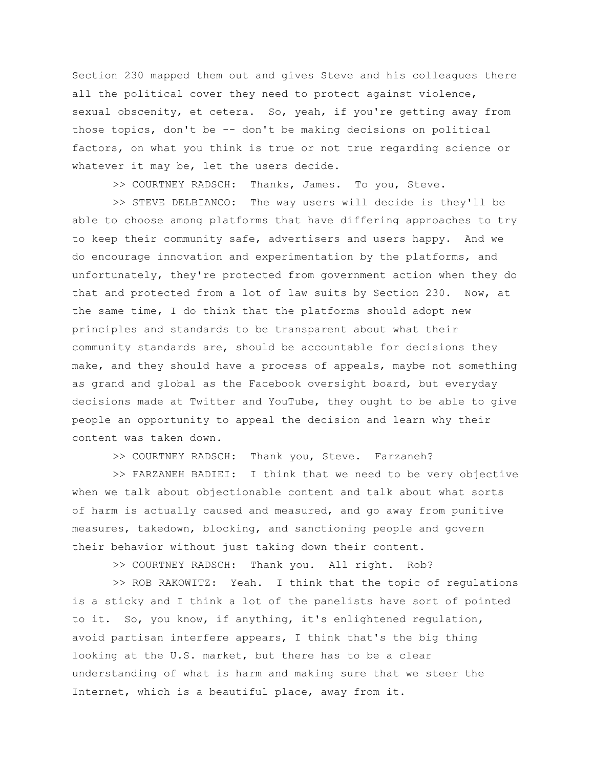Section 230 mapped them out and gives Steve and his colleagues there all the political cover they need to protect against violence, sexual obscenity, et cetera. So, yeah, if you're getting away from those topics, don't be -- don't be making decisions on political factors, on what you think is true or not true regarding science or whatever it may be, let the users decide.

>> COURTNEY RADSCH: Thanks, James. To you, Steve.

>> STEVE DELBIANCO: The way users will decide is they'll be able to choose among platforms that have differing approaches to try to keep their community safe, advertisers and users happy. And we do encourage innovation and experimentation by the platforms, and unfortunately, they're protected from government action when they do that and protected from a lot of law suits by Section 230. Now, at the same time, I do think that the platforms should adopt new principles and standards to be transparent about what their community standards are, should be accountable for decisions they make, and they should have a process of appeals, maybe not something as grand and global as the Facebook oversight board, but everyday decisions made at Twitter and YouTube, they ought to be able to give people an opportunity to appeal the decision and learn why their content was taken down.

>> COURTNEY RADSCH: Thank you, Steve. Farzaneh?

>> FARZANEH BADIEI: I think that we need to be very objective when we talk about objectionable content and talk about what sorts of harm is actually caused and measured, and go away from punitive measures, takedown, blocking, and sanctioning people and govern their behavior without just taking down their content.

>> COURTNEY RADSCH: Thank you. All right. Rob?

>> ROB RAKOWITZ: Yeah. I think that the topic of regulations is a sticky and I think a lot of the panelists have sort of pointed to it. So, you know, if anything, it's enlightened regulation, avoid partisan interfere appears, I think that's the big thing looking at the U.S. market, but there has to be a clear understanding of what is harm and making sure that we steer the Internet, which is a beautiful place, away from it.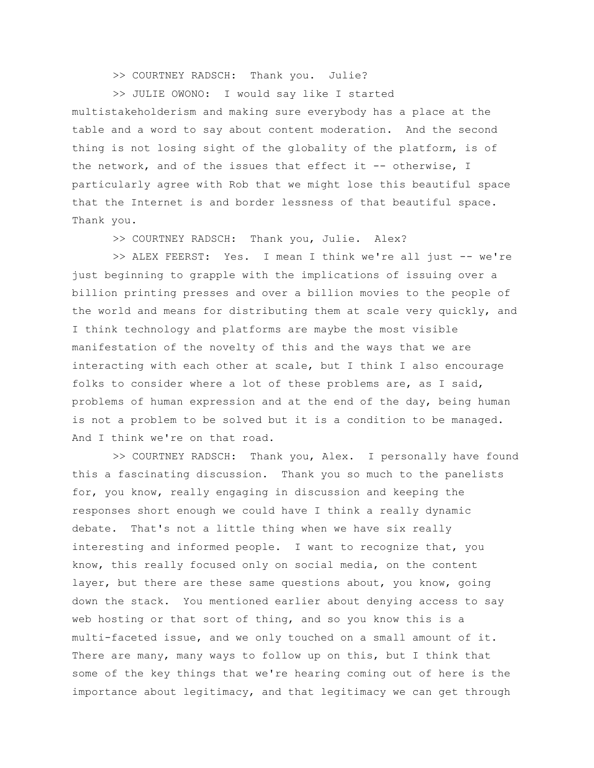## >> COURTNEY RADSCH: Thank you. Julie?

>> JULIE OWONO: I would say like I started multistakeholderism and making sure everybody has a place at the table and a word to say about content moderation. And the second thing is not losing sight of the globality of the platform, is of the network, and of the issues that effect it -- otherwise, I particularly agree with Rob that we might lose this beautiful space that the Internet is and border lessness of that beautiful space. Thank you.

>> COURTNEY RADSCH: Thank you, Julie. Alex?

>> ALEX FEERST: Yes. I mean I think we're all just -- we're just beginning to grapple with the implications of issuing over a billion printing presses and over a billion movies to the people of the world and means for distributing them at scale very quickly, and I think technology and platforms are maybe the most visible manifestation of the novelty of this and the ways that we are interacting with each other at scale, but I think I also encourage folks to consider where a lot of these problems are, as I said, problems of human expression and at the end of the day, being human is not a problem to be solved but it is a condition to be managed. And I think we're on that road.

>> COURTNEY RADSCH: Thank you, Alex. I personally have found this a fascinating discussion. Thank you so much to the panelists for, you know, really engaging in discussion and keeping the responses short enough we could have I think a really dynamic debate. That's not a little thing when we have six really interesting and informed people. I want to recognize that, you know, this really focused only on social media, on the content layer, but there are these same questions about, you know, going down the stack. You mentioned earlier about denying access to say web hosting or that sort of thing, and so you know this is a multi-faceted issue, and we only touched on a small amount of it. There are many, many ways to follow up on this, but I think that some of the key things that we're hearing coming out of here is the importance about legitimacy, and that legitimacy we can get through